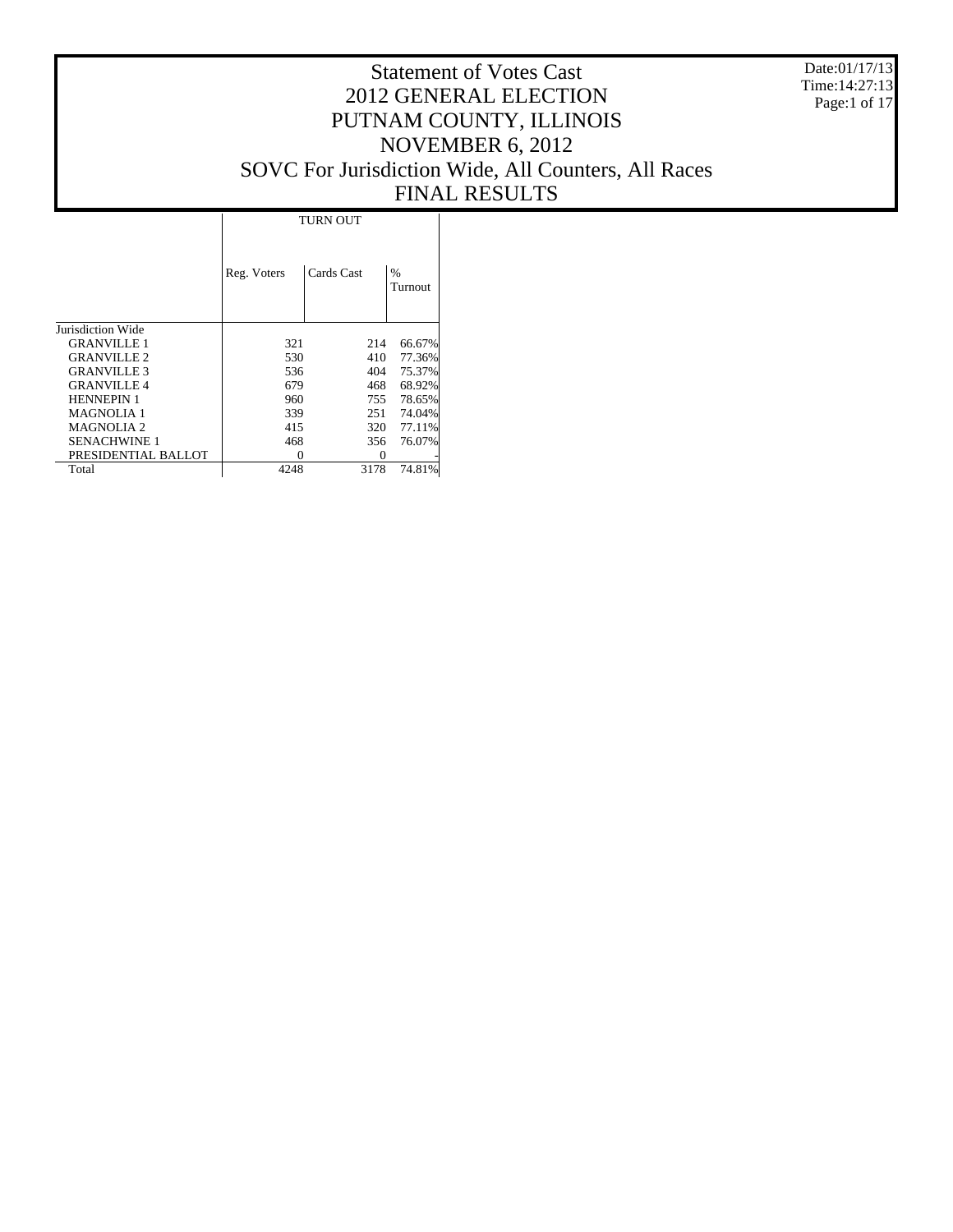Date:01/17/13 Time:14:27:13 Page:1 of 17

# Statement of Votes Cast 2012 GENERAL ELECTION PUTNAM COUNTY, ILLINOIS NOVEMBER 6, 2012 SOVC For Jurisdiction Wide, All Counters, All Races FINAL RESULTS

|                     |             | <b>TURN OUT</b> |                 |
|---------------------|-------------|-----------------|-----------------|
|                     | Reg. Voters | Cards Cast      | $\%$<br>Turnout |
| Jurisdiction Wide   |             |                 |                 |
| <b>GRANVILLE 1</b>  | 321         | 214             | 66.67%          |
| <b>GRANVILLE 2</b>  | 530         | 410             | 77.36%          |
| <b>GRANVILLE 3</b>  | 536         | 404             | 75.37%          |
| <b>GRANVILLE4</b>   | 679         | 468             | 68.92%          |
| <b>HENNEPIN 1</b>   | 960         | 755             | 78.65%          |
| <b>MAGNOLIA 1</b>   | 339         | 251             | 74.04%          |
| <b>MAGNOLIA2</b>    | 415         | 320             | 77.11%          |
| <b>SENACHWINE 1</b> | 468         | 356             | 76.07%          |
| PRESIDENTIAL BALLOT | 0           | $\Omega$        |                 |
| Total               | 4248        | 3178            | 74.81%          |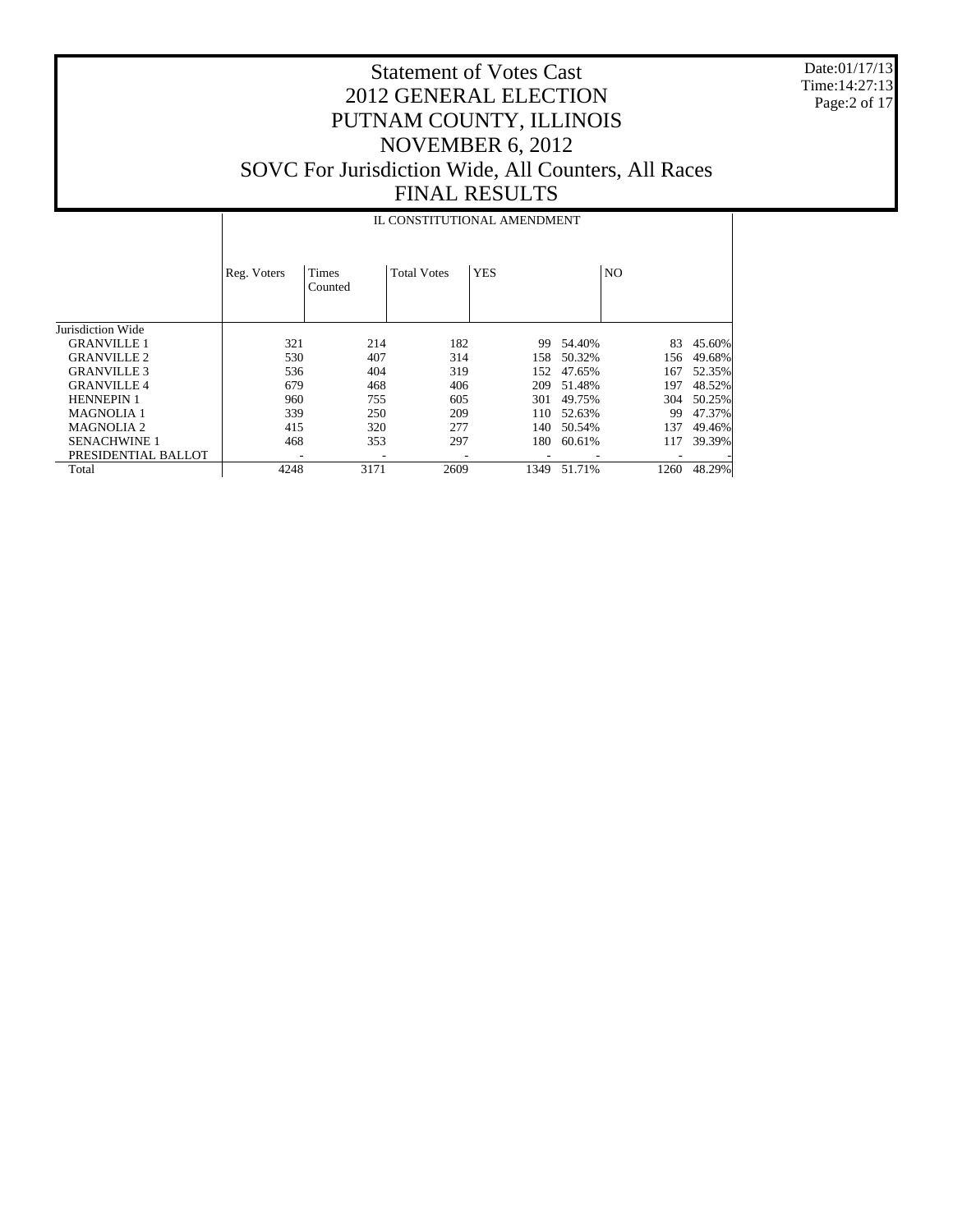Date:01/17/13 Time:14:27:13 Page:2 of 17

# Statement of Votes Cast 2012 GENERAL ELECTION PUTNAM COUNTY, ILLINOIS NOVEMBER 6, 2012 SOVC For Jurisdiction Wide, All Counters, All Races FINAL RESULTS

|                     |             |                         |                    | IL CONSTITUTIONAL AMENDMENT |        |      |        |
|---------------------|-------------|-------------------------|--------------------|-----------------------------|--------|------|--------|
|                     | Reg. Voters | <b>Times</b><br>Counted | <b>Total Votes</b> | <b>YES</b>                  |        | NO.  |        |
| Jurisdiction Wide   |             |                         |                    |                             |        |      |        |
| <b>GRANVILLE 1</b>  | 321         | 214                     | 182                | 99                          | 54.40% | 83   | 45.60% |
| <b>GRANVILLE 2</b>  | 530         | 407                     | 314                | 158                         | 50.32% | 156  | 49.68% |
| <b>GRANVILLE 3</b>  | 536         | 404                     | 319                | 152                         | 47.65% | 167  | 52.35% |
| <b>GRANVILLE 4</b>  | 679         | 468                     | 406                | 209                         | 51.48% | 197  | 48.52% |
| <b>HENNEPIN 1</b>   | 960         | 755                     | 605                | 301                         | 49.75% | 304  | 50.25% |
| <b>MAGNOLIA1</b>    | 339         | 250                     | 209                | 110                         | 52.63% | 99   | 47.37% |
| <b>MAGNOLIA 2</b>   | 415         | 320                     | 277                | 140                         | 50.54% | 137  | 49.46% |
| <b>SENACHWINE 1</b> | 468         | 353                     | 297                | 180                         | 60.61% | 117  | 39.39% |
| PRESIDENTIAL BALLOT |             |                         |                    |                             |        |      |        |
| Total               | 4248        | 3171                    | 2609               | 1349                        | 51.71% | 1260 | 48.29% |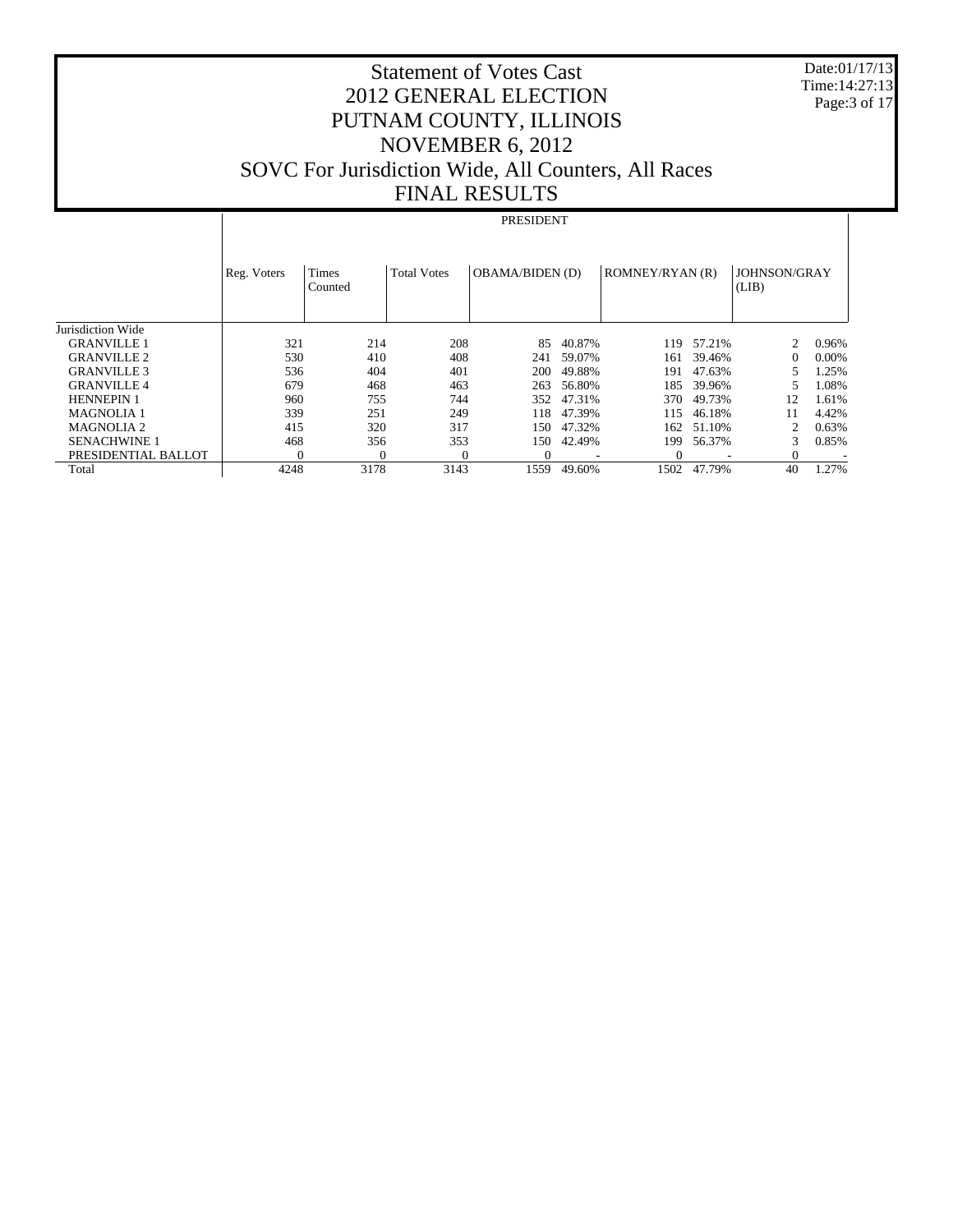Date:01/17/13 Time:14:27:13 Page:3 of 17

# Statement of Votes Cast 2012 GENERAL ELECTION PUTNAM COUNTY, ILLINOIS NOVEMBER 6, 2012 SOVC For Jurisdiction Wide, All Counters, All Races FINAL RESULTS

#### PRESIDENT

|                     | Reg. Voters | Times<br>Counted | <b>Total Votes</b> | <b>OBAMA/BIDEN (D)</b> |        | ROMNEY/RYAN (R) |        | JOHNSON/GRAY<br>(LIB)       |          |
|---------------------|-------------|------------------|--------------------|------------------------|--------|-----------------|--------|-----------------------------|----------|
| Jurisdiction Wide   |             |                  |                    |                        |        |                 |        |                             |          |
| <b>GRANVILLE 1</b>  | 321         | 214              | 208                | 85                     | 40.87% | 119             | 57.21% | $\mathcal{D}_{\mathcal{L}}$ | 0.96%    |
| <b>GRANVILLE 2</b>  | 530         | 410              | 408                | 241                    | 59.07% | 161             | 39.46% | $\Omega$                    | $0.00\%$ |
| <b>GRANVILLE 3</b>  | 536         | 404              | 401                | 200                    | 49.88% | 191             | 47.63% |                             | 1.25%    |
| <b>GRANVILLE4</b>   | 679         | 468              | 463                | 263                    | 56.80% | 185             | 39.96% | 5                           | 1.08%    |
| <b>HENNEPIN 1</b>   | 960         | 755              | 744                | 352                    | 47.31% | 370             | 49.73% | 12                          | 1.61%    |
| <b>MAGNOLIA 1</b>   | 339         | 251              | 249                | 118                    | 47.39% | 115             | 46.18% | 11                          | 4.42%    |
| <b>MAGNOLIA 2</b>   | 415         | 320              | 317                | 150                    | 47.32% | 162             | 51.10% | 2                           | 0.63%    |
| <b>SENACHWINE 1</b> | 468         | 356              | 353                | 150                    | 42.49% | 199             | 56.37% | 3                           | 0.85%    |
| PRESIDENTIAL BALLOT |             | 0                |                    | $\Omega$               |        |                 |        | $\Omega$                    |          |
| Total               | 4248        | 3178             | 3143               | 1559                   | 49.60% | 1502            | 47.79% | 40                          | 1.27%    |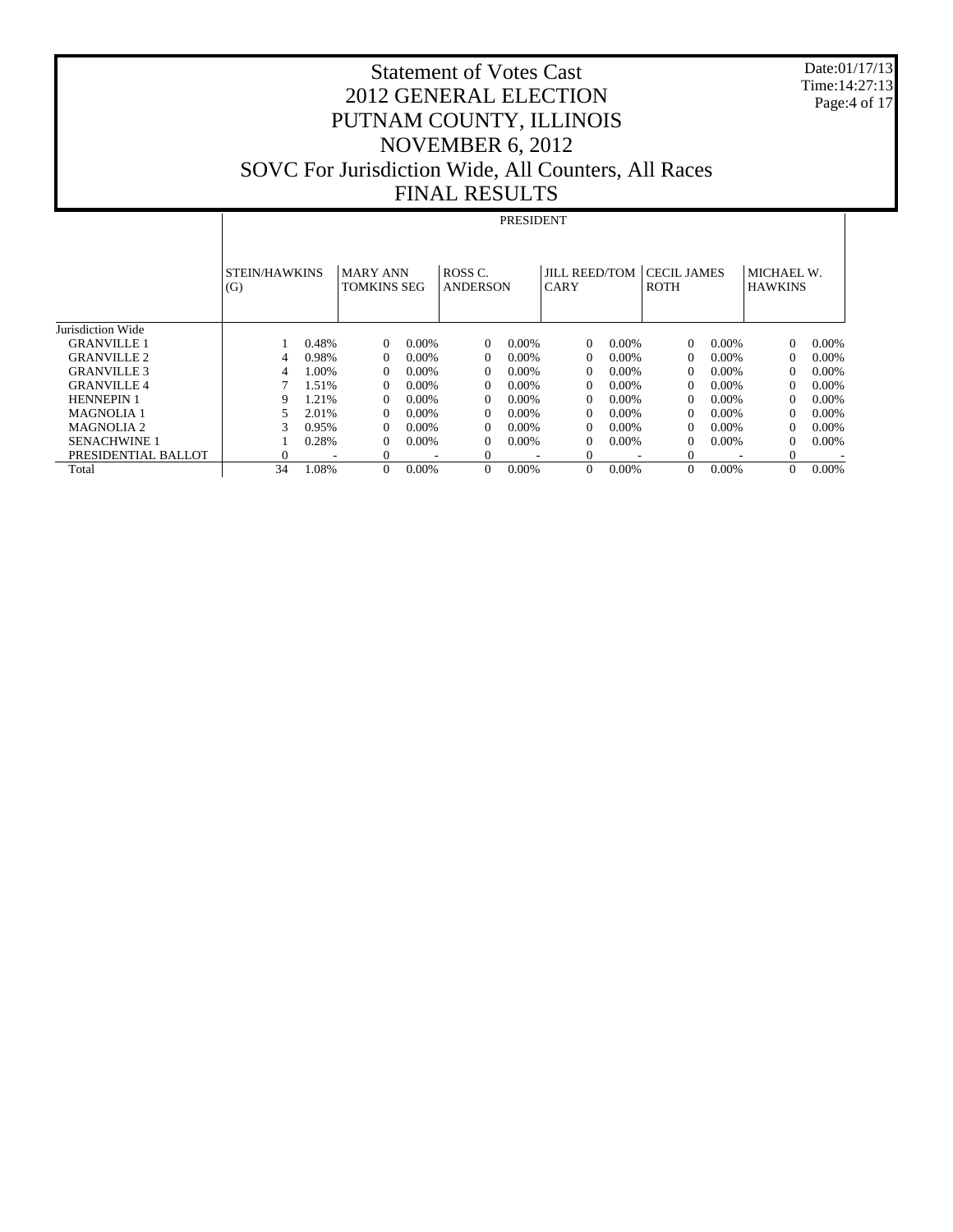Date:01/17/13 Time:14:27:13 Page:4 of 17

# Statement of Votes Cast 2012 GENERAL ELECTION PUTNAM COUNTY, ILLINOIS NOVEMBER 6, 2012 SOVC For Jurisdiction Wide, All Counters, All Races FINAL RESULTS

#### PRESIDENT

|                     | <b>STEIN/HAWKINS</b><br>(G) |       | <b>MARY ANN</b><br><b>TOMKINS SEG</b> |          | ROSS <sub>C</sub><br><b>ANDERSON</b> |          | <b>JILL REED/TOM</b><br><b>CARY</b> |          | <b>CECIL JAMES</b><br><b>ROTH</b> |          | MICHAEL W.<br><b>HAWKINS</b> |          |
|---------------------|-----------------------------|-------|---------------------------------------|----------|--------------------------------------|----------|-------------------------------------|----------|-----------------------------------|----------|------------------------------|----------|
| Jurisdiction Wide   |                             |       |                                       |          |                                      |          |                                     |          |                                   |          |                              |          |
| <b>GRANVILLE 1</b>  |                             | 0.48% | $\Omega$                              | $0.00\%$ | $\Omega$                             | 0.00%    | $\Omega$                            | $0.00\%$ | $\Omega$                          | $0.00\%$ | $\Omega$                     | $0.00\%$ |
| <b>GRANVILLE 2</b>  | 4                           | 0.98% | $\Omega$                              | $0.00\%$ | $\Omega$                             | 0.00%    | $\Omega$                            | $0.00\%$ | $\overline{0}$                    | $0.00\%$ | $\Omega$                     | $0.00\%$ |
| <b>GRANVILLE 3</b>  | 4                           | 1.00% | $\Omega$                              | 0.00%    | $\Omega$                             | 0.00%    | $\Omega$                            | $0.00\%$ | $\Omega$                          | $0.00\%$ | $\Omega$                     | $0.00\%$ |
| <b>GRANVILLE4</b>   |                             | 1.51% | $\Omega$                              | $0.00\%$ | $\Omega$                             | 0.00%    | $\Omega$                            | $0.00\%$ | $\overline{0}$                    | $0.00\%$ | $\Omega$                     | $0.00\%$ |
| <b>HENNEPIN 1</b>   | Q                           | 1.21% | 0                                     | $0.00\%$ | 0                                    | $0.00\%$ | 0                                   | $0.00\%$ | $\Omega$                          | $0.00\%$ |                              | $0.00\%$ |
| <b>MAGNOLIA 1</b>   |                             | 2.01% | $\Omega$                              | $0.00\%$ | $\Omega$                             | 0.00%    | $\Omega$                            | $0.00\%$ | $\Omega$                          | $0.00\%$ |                              | $0.00\%$ |
| MAGNOLIA 2          | 3                           | 0.95% | $\Omega$                              | 0.00%    | $\Omega$                             | 0.00%    | $\Omega$                            | $0.00\%$ | $\overline{0}$                    | $0.00\%$ |                              | $0.00\%$ |
| <b>SENACHWINE 1</b> |                             | 0.28% | 0                                     | 0.00%    | $\Omega$                             | $0.00\%$ | $\Omega$                            | $0.00\%$ | $\Omega$                          | $0.00\%$ | $\Omega$                     | $0.00\%$ |
| PRESIDENTIAL BALLOT |                             |       |                                       |          | 0                                    |          | 0                                   |          | $\Omega$                          | ۰        |                              |          |
| Total               | 34                          | .08%  | 0                                     | $0.00\%$ | $\Omega$                             | $0.00\%$ | $\Omega$                            | $0.00\%$ | $\overline{0}$                    | $0.00\%$ |                              | 0.00%    |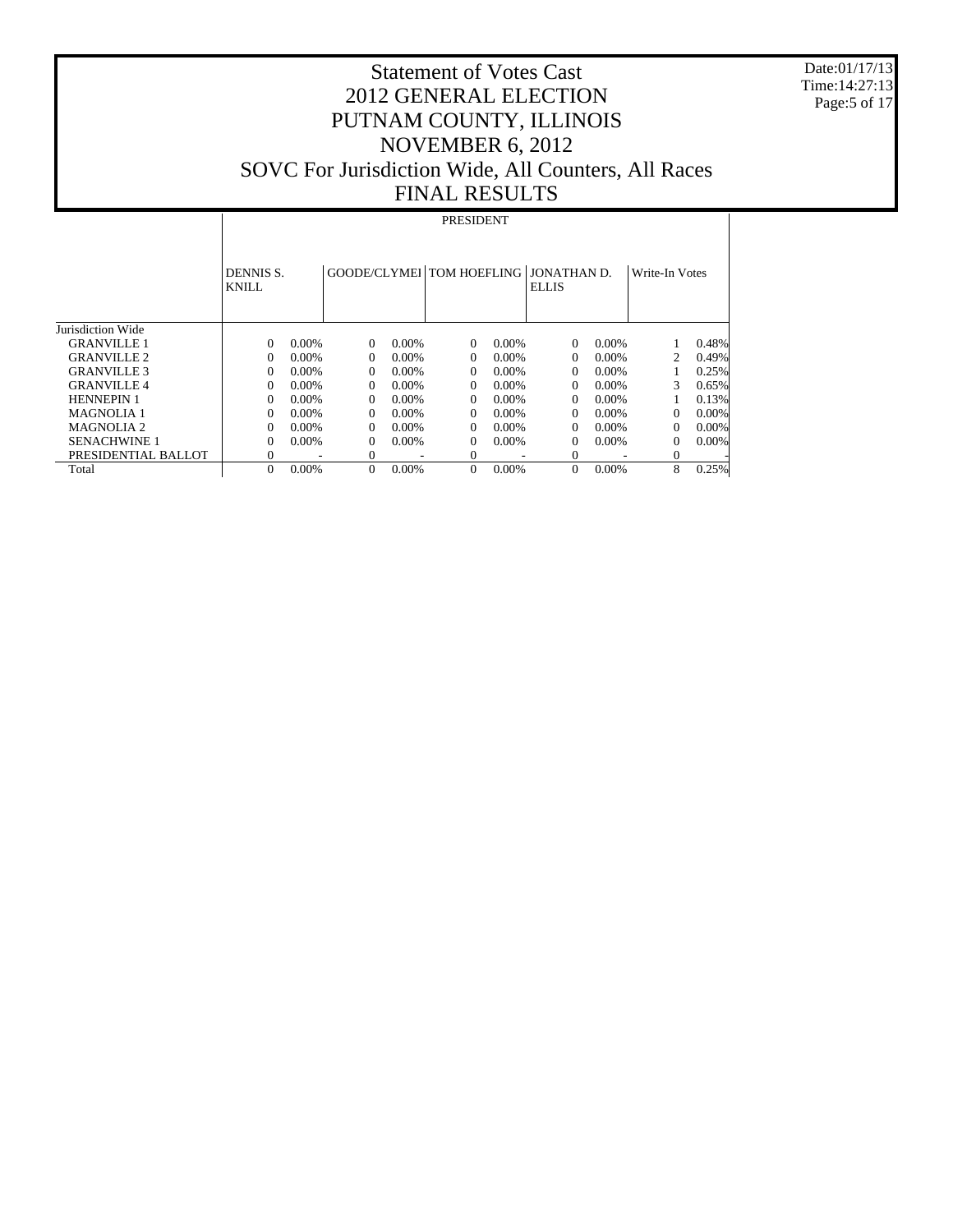Date:01/17/13 Time:14:27:13 Page:5 of 17

# Statement of Votes Cast 2012 GENERAL ELECTION PUTNAM COUNTY, ILLINOIS NOVEMBER 6, 2012 SOVC For Jurisdiction Wide, All Counters, All Races FINAL RESULTS

#### PRESIDENT

|                     | DENNIS S.<br><b>KNILL</b> |          | GOODE/CLYMEL TOM HOEFLING JONATHAN D. |          |          |          | <b>ELLIS</b> |          | Write-In Votes |          |
|---------------------|---------------------------|----------|---------------------------------------|----------|----------|----------|--------------|----------|----------------|----------|
| Jurisdiction Wide   |                           |          |                                       |          |          |          |              |          |                |          |
| <b>GRANVILLE 1</b>  | 0                         | $0.00\%$ | $\Omega$                              | $0.00\%$ | $\Omega$ | $0.00\%$ | $\Omega$     | $0.00\%$ |                | 0.48%    |
| <b>GRANVILLE 2</b>  | 0                         | $0.00\%$ | $\Omega$                              | $0.00\%$ | 0        | $0.00\%$ | $\Omega$     | $0.00\%$ | 2              | 0.49%    |
| <b>GRANVILLE 3</b>  | 0                         | $0.00\%$ | $\Omega$                              | $0.00\%$ | 0        | $0.00\%$ | $\Omega$     | $0.00\%$ |                | 0.25%    |
| <b>GRANVILLE 4</b>  | 0                         | $0.00\%$ | $\Omega$                              | $0.00\%$ | $\Omega$ | $0.00\%$ | $\Omega$     | $0.00\%$ | 3              | 0.65%    |
| <b>HENNEPIN 1</b>   | 0                         | $0.00\%$ | $\Omega$                              | $0.00\%$ | 0        | $0.00\%$ | $\Omega$     | $0.00\%$ |                | 0.13%    |
| <b>MAGNOLIA 1</b>   | 0                         | $0.00\%$ | $\Omega$                              | $0.00\%$ | 0        | $0.00\%$ | $\Omega$     | $0.00\%$ | $\Omega$       | $0.00\%$ |
| MAGNOLIA 2          | 0                         | $0.00\%$ | $\Omega$                              | $0.00\%$ | $\Omega$ | $0.00\%$ | $\Omega$     | $0.00\%$ | $\Omega$       | $0.00\%$ |
| <b>SENACHWINE 1</b> | 0                         | $0.00\%$ | $\Omega$                              | 0.00%    | $\Omega$ | 0.00%    | 0            | $0.00\%$ | $\Omega$       | $0.00\%$ |
| PRESIDENTIAL BALLOT | 0                         |          | $\Omega$                              |          | $\Omega$ |          | 0            |          | $\Omega$       |          |
| Total               | 0                         | 0.00%    | $\mathbf{0}$                          | 0.00%    | $\Omega$ | 0.00%    | $\theta$     | $0.00\%$ | 8              | 0.25%    |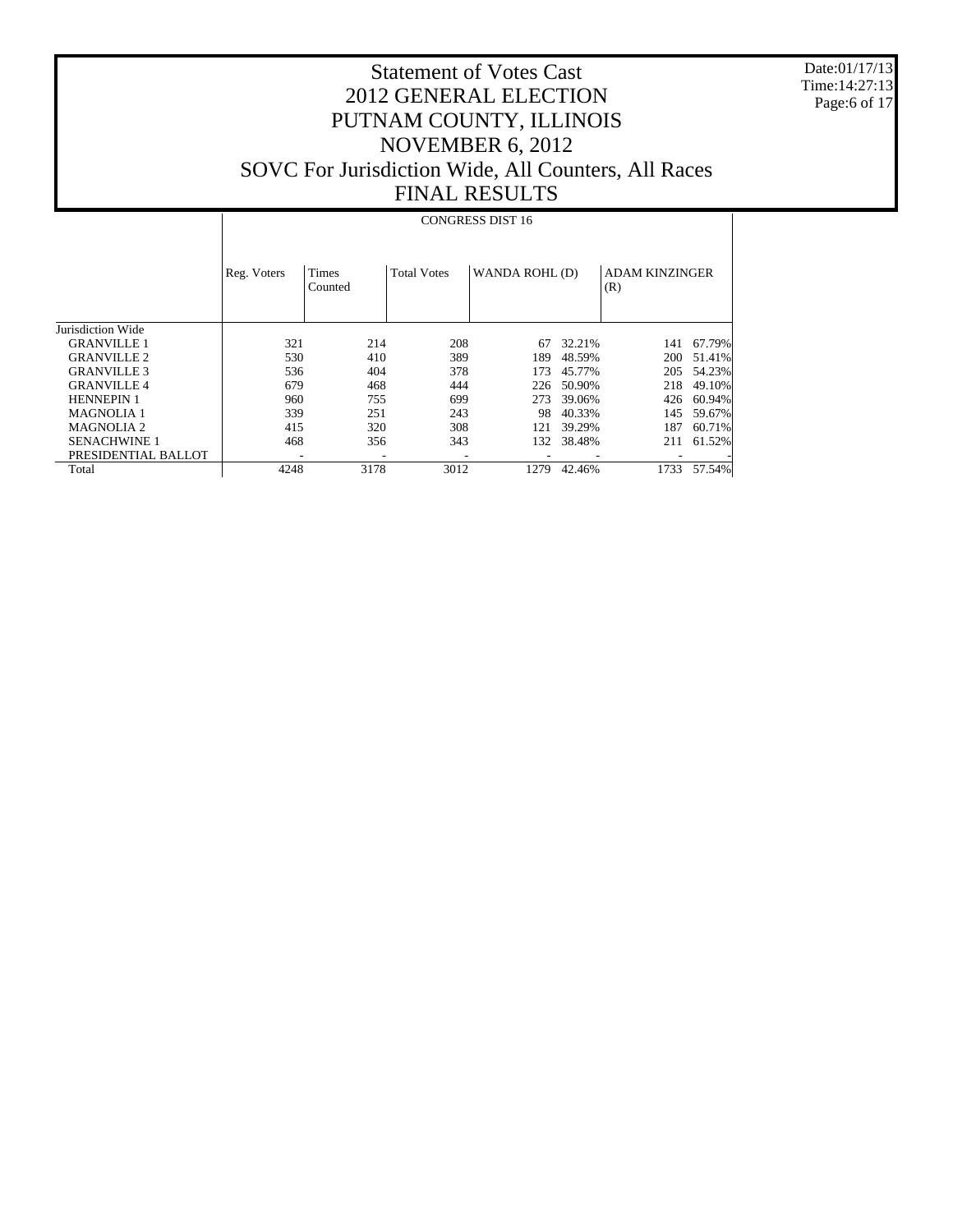Date:01/17/13 Time:14:27:13 Page:6 of 17

# Statement of Votes Cast 2012 GENERAL ELECTION PUTNAM COUNTY, ILLINOIS NOVEMBER 6, 2012 SOVC For Jurisdiction Wide, All Counters, All Races FINAL RESULTS

#### CONGRESS DIST 16

|                     | Reg. Voters              | Times<br>Counted         | <b>Total Votes</b> | WANDA ROHL (D)           |        | <b>ADAM KINZINGER</b><br>(R) |        |
|---------------------|--------------------------|--------------------------|--------------------|--------------------------|--------|------------------------------|--------|
| Jurisdiction Wide   |                          |                          |                    |                          |        |                              |        |
| <b>GRANVILLE 1</b>  | 321                      | 214                      | 208                | 67                       | 32.21% | 141                          | 67.79% |
| <b>GRANVILLE 2</b>  | 530                      | 410                      | 389                | 189                      | 48.59% | 200                          | 51.41% |
| <b>GRANVILLE 3</b>  | 536                      | 404                      | 378                | 173                      | 45.77% | 205                          | 54.23% |
| <b>GRANVILLE 4</b>  | 679                      | 468                      | 444                | 226                      | 50.90% | 218                          | 49.10% |
| <b>HENNEPIN 1</b>   | 960                      | 755                      | 699                | 273                      | 39.06% | 426                          | 60.94% |
| <b>MAGNOLIA1</b>    | 339                      | 251                      | 243                | 98                       | 40.33% | 145                          | 59.67% |
| <b>MAGNOLIA 2</b>   | 415                      | 320                      | 308                | 121                      | 39.29% | 187                          | 60.71% |
| <b>SENACHWINE 1</b> | 468                      | 356                      | 343                | 132                      | 38.48% | 211                          | 61.52% |
| PRESIDENTIAL BALLOT | $\overline{\phantom{a}}$ | $\overline{\phantom{a}}$ | ۰                  | $\overline{\phantom{a}}$ |        |                              |        |
| Total               | 4248                     | 3178                     | 3012               | 1279                     | 42.46% | 1733                         | 57.54% |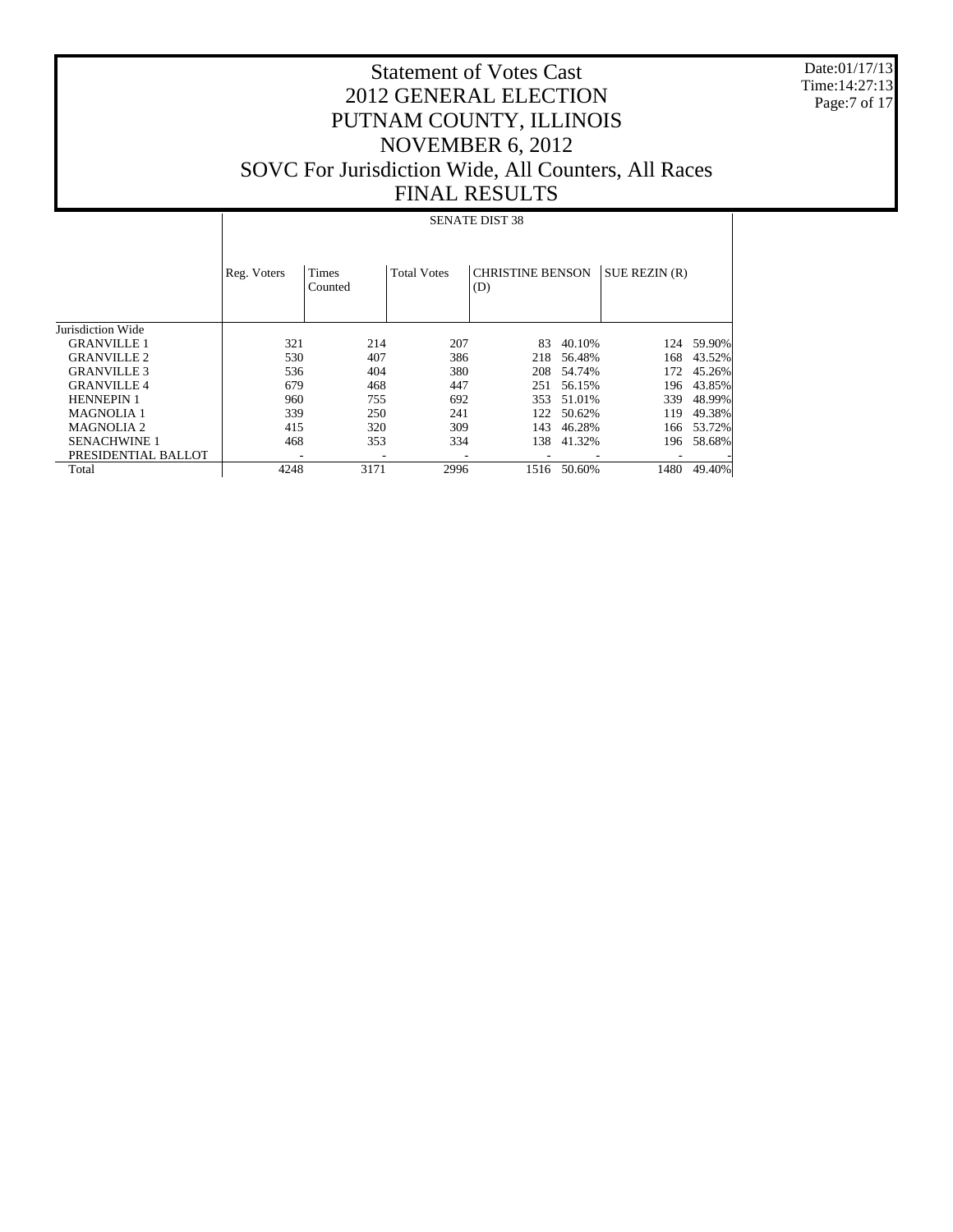Date:01/17/13 Time:14:27:13 Page:7 of 17

# Statement of Votes Cast 2012 GENERAL ELECTION PUTNAM COUNTY, ILLINOIS NOVEMBER 6, 2012 SOVC For Jurisdiction Wide, All Counters, All Races FINAL RESULTS

#### SENATE DIST 38

|                     | Reg. Voters | Times<br>Counted | <b>Total Votes</b> | <b>CHRISTINE BENSON</b><br>(D) |        | SUE REZIN (R) |        |
|---------------------|-------------|------------------|--------------------|--------------------------------|--------|---------------|--------|
| Jurisdiction Wide   |             |                  |                    |                                |        |               |        |
| <b>GRANVILLE 1</b>  | 321         | 214              | 207                | 83                             | 40.10% | 124           | 59.90% |
| <b>GRANVILLE 2</b>  | 530         | 407              | 386                | 218                            | 56.48% | 168           | 43.52% |
| <b>GRANVILLE 3</b>  | 536         | 404              | 380                | 208                            | 54.74% | 172           | 45.26% |
| <b>GRANVILLE4</b>   | 679         | 468              | 447                | 251                            | 56.15% | 196           | 43.85% |
| <b>HENNEPIN 1</b>   | 960         | 755              | 692                | 353                            | 51.01% | 339           | 48.99% |
| <b>MAGNOLIA 1</b>   | 339         | 250              | 241                | 122                            | 50.62% | 119           | 49.38% |
| <b>MAGNOLIA 2</b>   | 415         | 320              | 309                | 143                            | 46.28% | 166           | 53.72% |
| <b>SENACHWINE 1</b> | 468         | 353              | 334                | 138                            | 41.32% | 196           | 58.68% |
| PRESIDENTIAL BALLOT | ۰           | -                |                    |                                |        |               |        |
| Total               | 4248        | 3171             | 2996               | 1516                           | 50.60% | 1480          | 49.40% |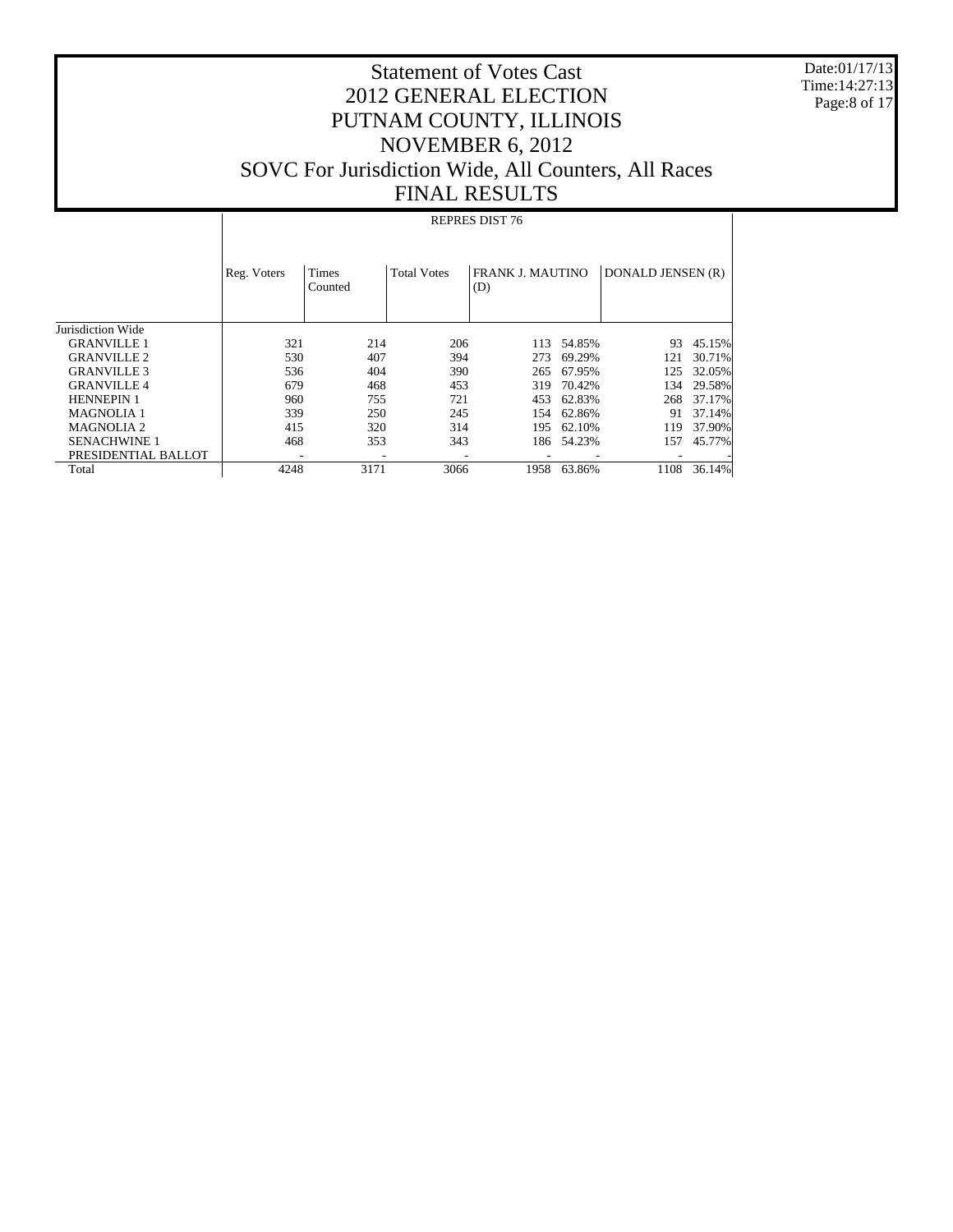Date:01/17/13 Time:14:27:13 Page:8 of 17

# Statement of Votes Cast 2012 GENERAL ELECTION PUTNAM COUNTY, ILLINOIS NOVEMBER 6, 2012 SOVC For Jurisdiction Wide, All Counters, All Races FINAL RESULTS

#### REPRES DIST 76

|                     | Reg. Voters | Times<br>Counted         | <b>Total Votes</b> | <b>FRANK J. MAUTINO</b><br>(D) |        | DONALD JENSEN (R) |        |
|---------------------|-------------|--------------------------|--------------------|--------------------------------|--------|-------------------|--------|
| Jurisdiction Wide   |             |                          |                    |                                |        |                   |        |
| <b>GRANVILLE 1</b>  | 321         | 214                      | 206                | 113                            | 54.85% | 93                | 45.15% |
| <b>GRANVILLE 2</b>  | 530         | 407                      | 394                | 273                            | 69.29% | 121               | 30.71% |
| <b>GRANVILLE 3</b>  | 536         | 404                      | 390                | 265                            | 67.95% | 125               | 32.05% |
| <b>GRANVILLE 4</b>  | 679         | 468                      | 453                | 319                            | 70.42% | 134               | 29.58% |
| <b>HENNEPIN 1</b>   | 960         | 755                      | 721                | 453                            | 62.83% | 268               | 37.17% |
| <b>MAGNOLIA 1</b>   | 339         | 250                      | 245                | 154                            | 62.86% | 91                | 37.14% |
| <b>MAGNOLIA 2</b>   | 415         | 320                      | 314                | 195                            | 62.10% | 119               | 37.90% |
| <b>SENACHWINE 1</b> | 468         | 353                      | 343                | 186                            | 54.23% | 157               | 45.77% |
| PRESIDENTIAL BALLOT | ۰           | $\overline{\phantom{a}}$ | -                  | ۰                              |        |                   |        |
| Total               | 4248        | 3171                     | 3066               | 1958                           | 63.86% | 1108              | 36.14% |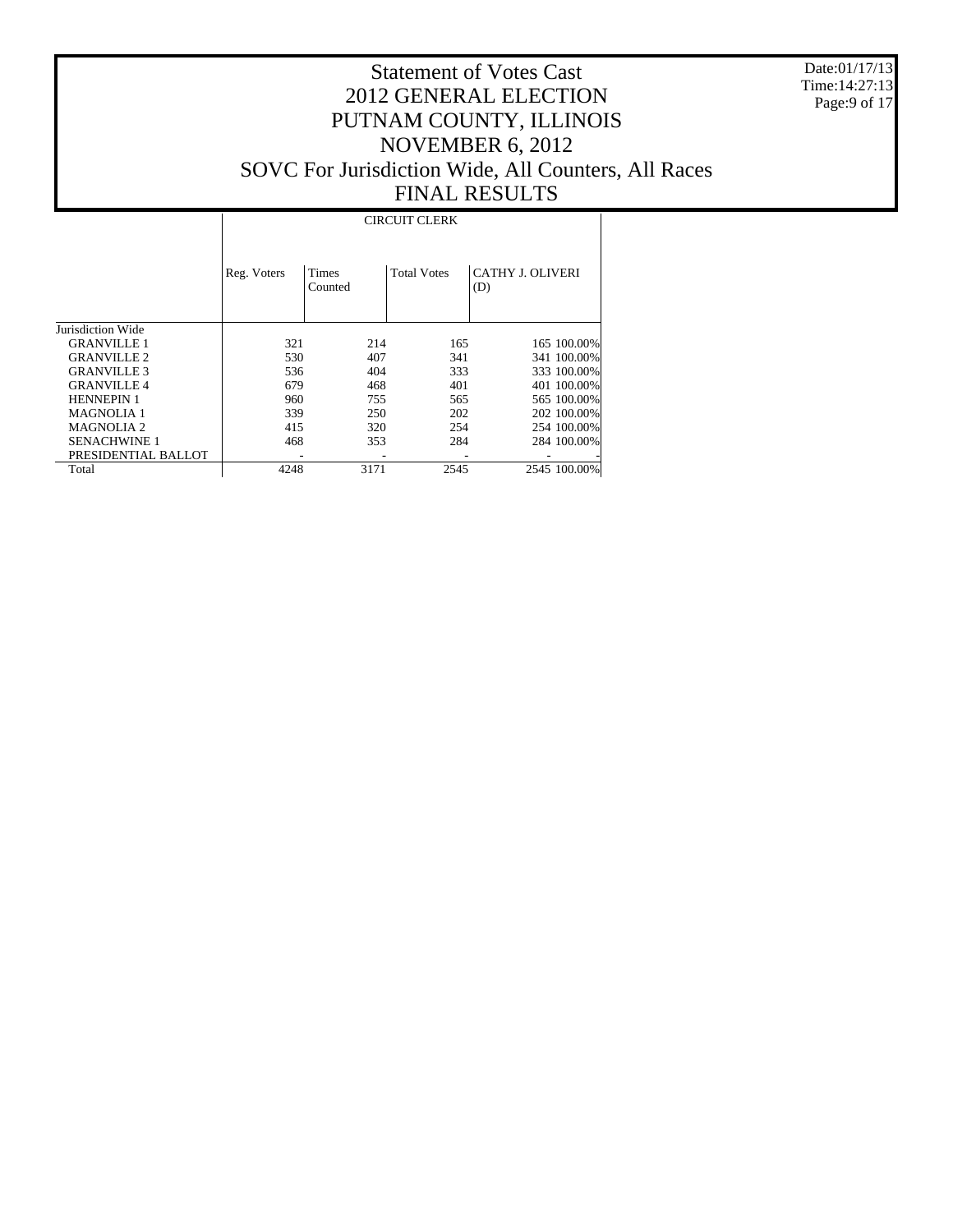Date:01/17/13 Time:14:27:13 Page:9 of 17

# Statement of Votes Cast 2012 GENERAL ELECTION PUTNAM COUNTY, ILLINOIS NOVEMBER 6, 2012 SOVC For Jurisdiction Wide, All Counters, All Races FINAL RESULTS

#### CIRCUIT CLERK

|                     | Reg. Voters | Times<br>Counted | <b>Total Votes</b> | <b>CATHY J. OLIVERI</b><br>(D) |              |
|---------------------|-------------|------------------|--------------------|--------------------------------|--------------|
| Jurisdiction Wide   |             |                  |                    |                                |              |
| <b>GRANVILLE 1</b>  | 321         | 214              | 165                |                                | 165 100.00%  |
| <b>GRANVILLE 2</b>  | 530         | 407              | 341                |                                | 341 100.00%  |
| <b>GRANVILLE 3</b>  | 536         | 404              | 333                |                                | 333 100.00%  |
| <b>GRANVILLE4</b>   | 679         | 468              | 401                |                                | 401 100.00%  |
| <b>HENNEPIN 1</b>   | 960         | 755              | 565                |                                | 565 100.00%  |
| <b>MAGNOLIA 1</b>   | 339         | 250              | 202                |                                | 202 100.00%  |
| <b>MAGNOLIA2</b>    | 415         | 320              | 254                |                                | 254 100.00%  |
| <b>SENACHWINE 1</b> | 468         | 353              | 284                |                                | 284 100.00%  |
| PRESIDENTIAL BALLOT |             |                  |                    |                                |              |
| Total               | 4248        | 3171             | 2545               |                                | 2545 100.00% |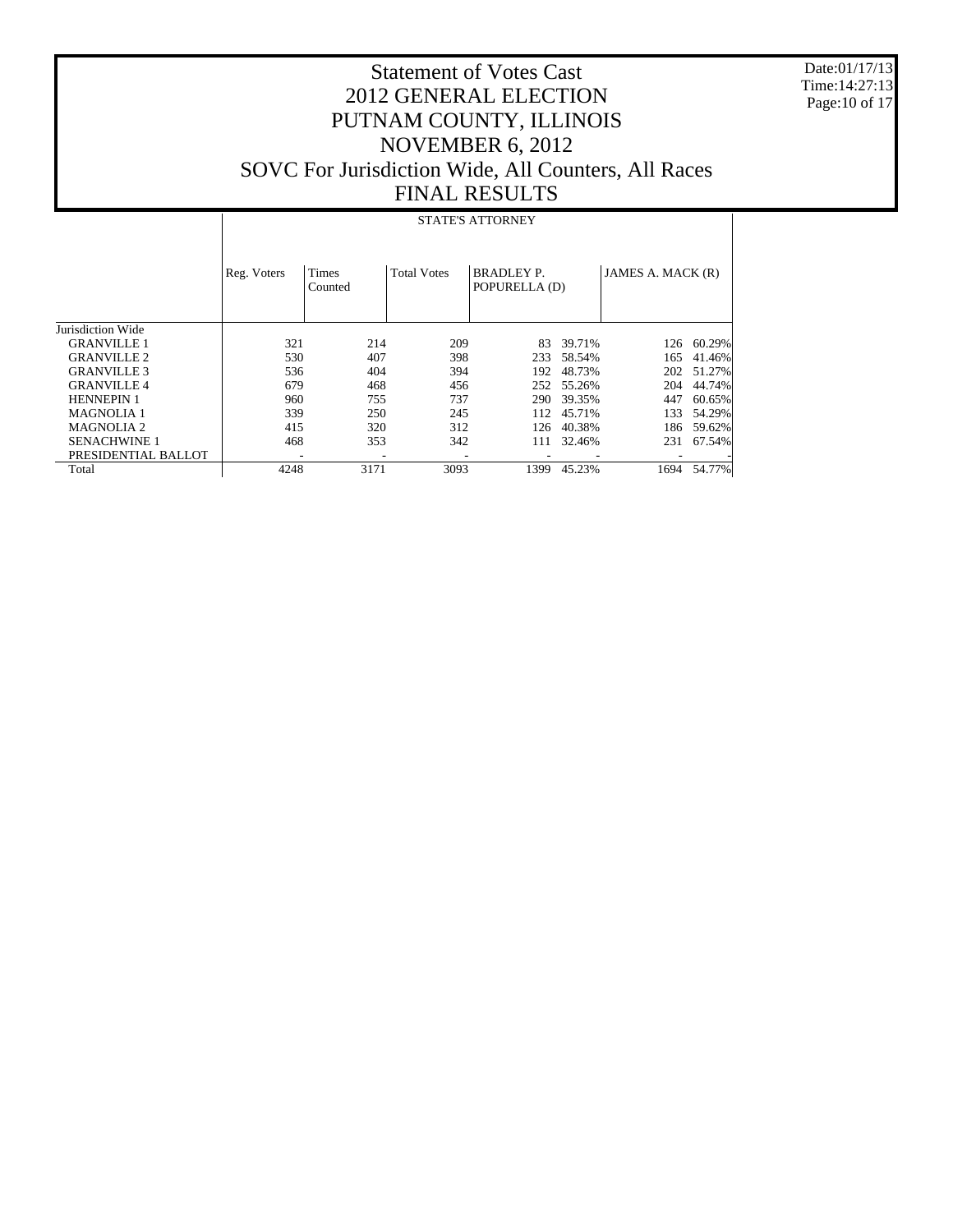Date:01/17/13 Time:14:27:13 Page:10 of 17

# Statement of Votes Cast 2012 GENERAL ELECTION PUTNAM COUNTY, ILLINOIS NOVEMBER 6, 2012 SOVC For Jurisdiction Wide, All Counters, All Races FINAL RESULTS

#### STATE'S ATTORNEY

|                     | Reg. Voters | <b>Times</b><br>Counted | <b>Total Votes</b> | <b>BRADLEY P.</b><br>POPURELLA (D) |        | JAMES A. MACK (R) |        |
|---------------------|-------------|-------------------------|--------------------|------------------------------------|--------|-------------------|--------|
| Jurisdiction Wide   |             |                         |                    |                                    |        |                   |        |
| <b>GRANVILLE 1</b>  | 321         | 214                     | 209                | 83                                 | 39.71% | 126               | 60.29% |
| <b>GRANVILLE 2</b>  | 530         | 407                     | 398                | 233                                | 58.54% | 165               | 41.46% |
| <b>GRANVILLE 3</b>  | 536         | 404                     | 394                | 192                                | 48.73% | 202               | 51.27% |
| <b>GRANVILLE 4</b>  | 679         | 468                     | 456                | 252                                | 55.26% | 204               | 44.74% |
| <b>HENNEPIN 1</b>   | 960         | 755                     | 737                | 290                                | 39.35% | 447               | 60.65% |
| <b>MAGNOLIA 1</b>   | 339         | 250                     | 245                | 112                                | 45.71% | 133               | 54.29% |
| <b>MAGNOLIA 2</b>   | 415         | 320                     | 312                | 126                                | 40.38% | 186               | 59.62% |
| <b>SENACHWINE 1</b> | 468         | 353                     | 342                | 111                                | 32.46% | 231               | 67.54% |
| PRESIDENTIAL BALLOT | ۰           | ۰                       |                    | $\overline{\phantom{a}}$           |        |                   |        |
| Total               | 4248        | 3171                    | 3093               | 1399                               | 45.23% | 1694              | 54.77% |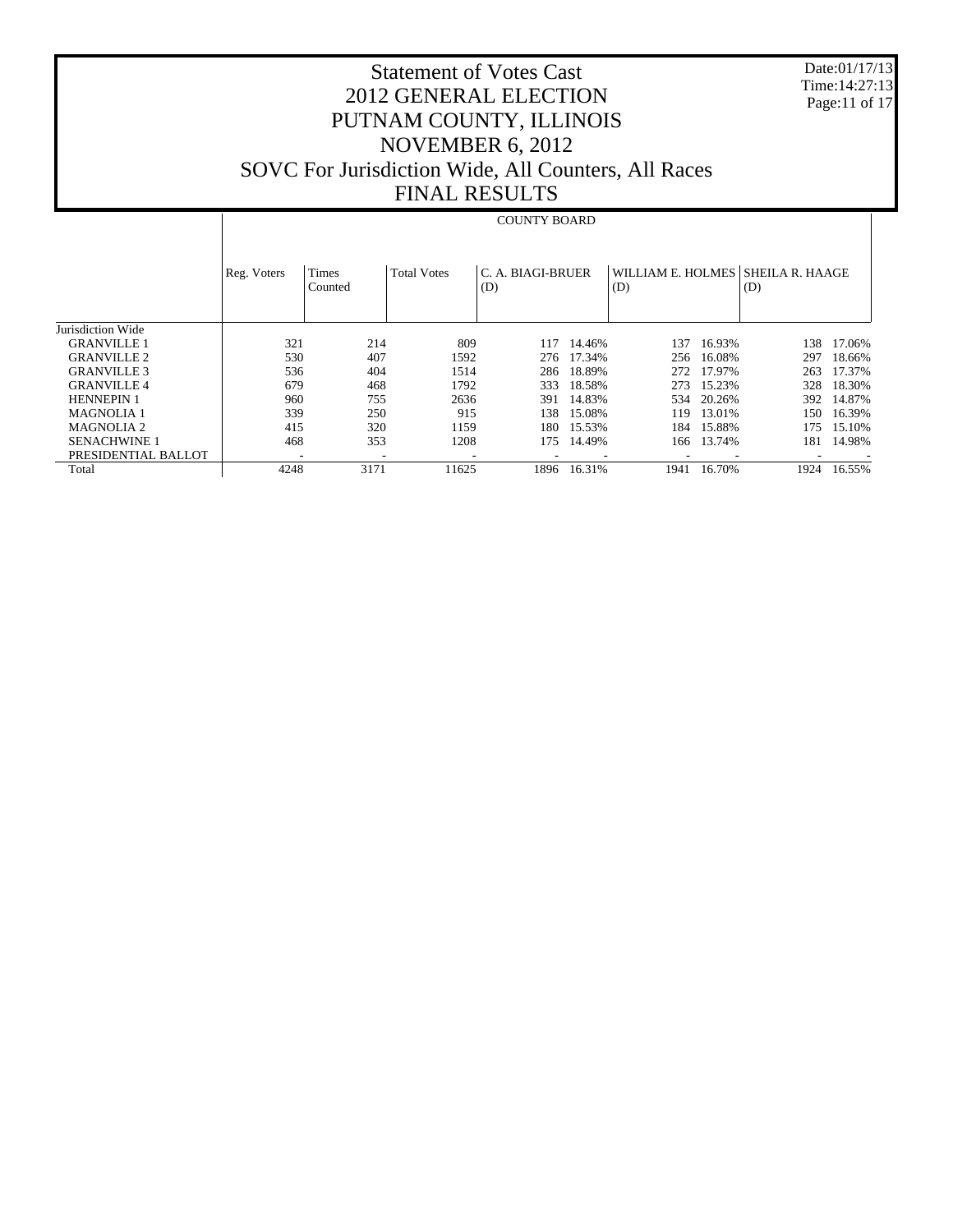Date:01/17/13 Time:14:27:13 Page:11 of 17

# Statement of Votes Cast 2012 GENERAL ELECTION PUTNAM COUNTY, ILLINOIS NOVEMBER 6, 2012 SOVC For Jurisdiction Wide, All Counters, All Races FINAL RESULTS

#### COUNTY BOARD

|                     | Reg. Voters | Times<br>Counted | <b>Total Votes</b>       | C. A. BIAGI-BRUER<br>(D) |        | (D)  |            | WILLIAM E. HOLMES SHEILA R. HAAGE<br>(D) |        |
|---------------------|-------------|------------------|--------------------------|--------------------------|--------|------|------------|------------------------------------------|--------|
| Jurisdiction Wide   |             |                  |                          |                          |        |      |            |                                          |        |
| <b>GRANVILLE 1</b>  | 321         | 214              | 809                      | 117                      | 14.46% | 137  | 16.93%     | 138                                      | 17.06% |
| <b>GRANVILLE 2</b>  | 530         | 407              | 1592                     | 276                      | 17.34% | 256  | 16.08%     | 297                                      | 18.66% |
| <b>GRANVILLE 3</b>  | 536         | 404              | 1514                     | 286                      | 18.89% | 272  | 17.97%     | 263                                      | 17.37% |
| <b>GRANVILLE 4</b>  | 679         | 468              | 1792                     | 333                      | 18.58% | 273  | 15.23%     | 328                                      | 18.30% |
| <b>HENNEPIN 1</b>   | 960         | 755              | 2636                     | 391                      | 14.83% | 534  | 20.26%     | 392                                      | 14.87% |
| <b>MAGNOLIA 1</b>   | 339         | 250              | 915                      | 138.                     | 15.08% | 119. | 13.01%     | 150-                                     | 16.39% |
| <b>MAGNOLIA 2</b>   | 415         | 320              | 1159                     | 180                      | 15.53% | 184  | 15.88%     | 175                                      | 15.10% |
| <b>SENACHWINE 1</b> | 468         | 353              | 1208                     | 175                      | 14.49% |      | 166 13.74% | 181                                      | 14.98% |
| PRESIDENTIAL BALLOT |             |                  | $\overline{\phantom{a}}$ |                          |        |      |            |                                          |        |
| Total               | 4248        | 3171             | 11625                    | 1896                     | 16.31% | 1941 | 16.70%     | 1924                                     | 16.55% |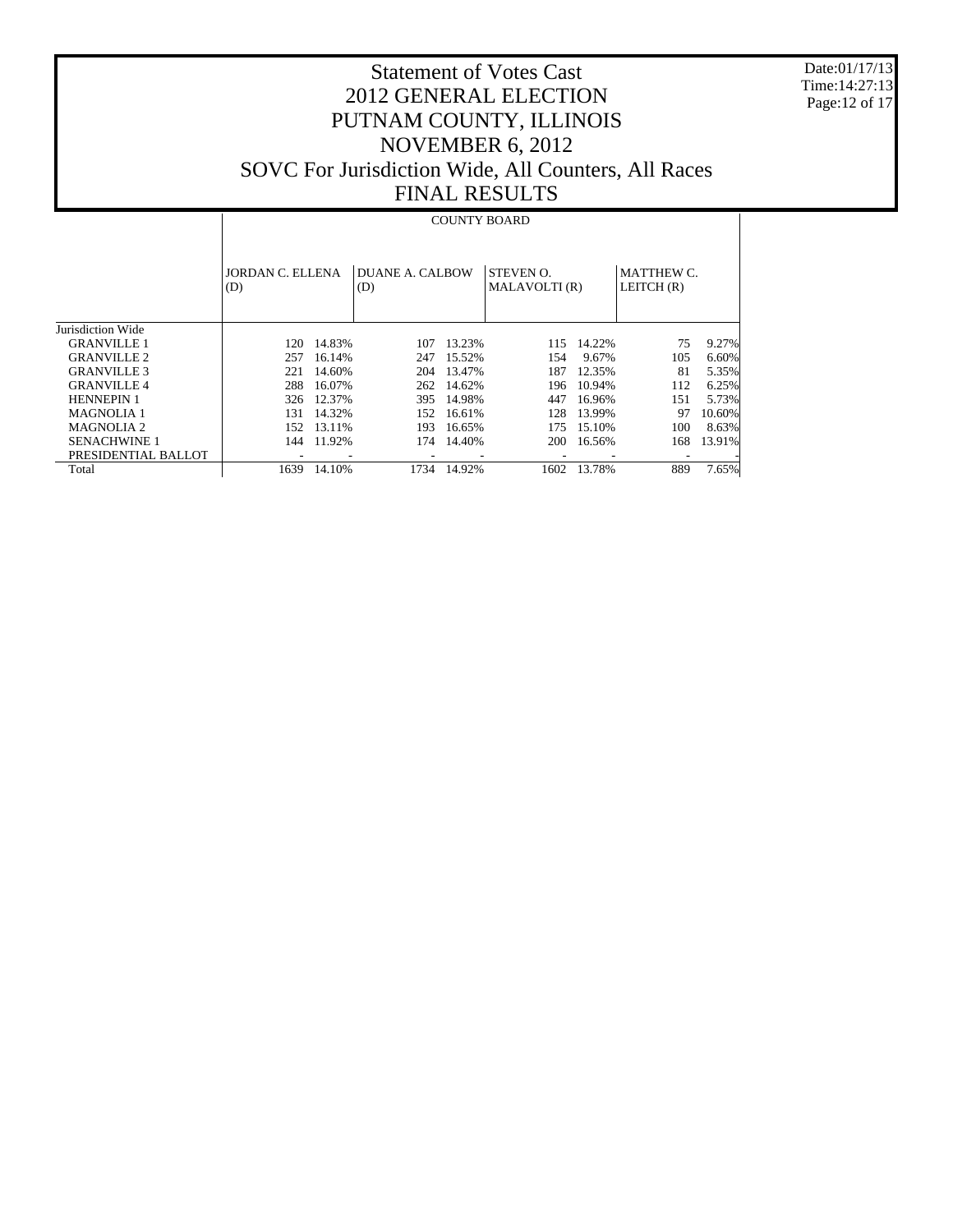Date:01/17/13 Time:14:27:13 Page:12 of 17

# Statement of Votes Cast 2012 GENERAL ELECTION PUTNAM COUNTY, ILLINOIS NOVEMBER 6, 2012 SOVC For Jurisdiction Wide, All Counters, All Races FINAL RESULTS

#### COUNTY BOARD

|                       | JORDAN C. ELLENA<br>(D) |        | DUANE A. CALBOW<br>(D) |        | <b>STEVEN O.</b><br>MALAVOLTI(R) |        | <b>MATTHEW C.</b><br>LEITCH $(R)$ |        |
|-----------------------|-------------------------|--------|------------------------|--------|----------------------------------|--------|-----------------------------------|--------|
| Jurisdiction Wide     |                         |        |                        |        |                                  |        |                                   |        |
| <b>GRANVILLE 1</b>    | 120.                    | 14.83% | 107                    | 13.23% | 115                              | 14.22% | 75                                | 9.27%  |
| <b>GRANVILLE 2</b>    | 257                     | 16.14% | 247                    | 15.52% | 154                              | 9.67%  | 105                               | 6.60%  |
| <b>GRANVILLE 3</b>    | 221                     | 14.60% | 204                    | 13.47% | 187                              | 12.35% | 81                                | 5.35%  |
| <b>GRANVILLE 4</b>    | 288                     | 16.07% | 262                    | 14.62% | 196                              | 10.94% | 112                               | 6.25%  |
| <b>HENNEPIN 1</b>     | 326                     | 12.37% | 395                    | 14.98% | 447                              | 16.96% | 151                               | 5.73%  |
| <b>MAGNOLIA 1</b>     | 131                     | 14.32% | 152                    | 16.61% | 128                              | 13.99% | 97                                | 10.60% |
| MAGNOLIA <sub>2</sub> | 152                     | 13.11% | 193                    | 16.65% | 175                              | 15.10% | 100                               | 8.63%  |
| <b>SENACHWINE 1</b>   | 144                     | 11.92% | 174                    | 14.40% | <b>200</b>                       | 16.56% | 168                               | 13.91% |
| PRESIDENTIAL BALLOT   |                         |        |                        |        |                                  |        |                                   |        |
| Total                 | 1639                    | 14.10% | 1734                   | 14.92% | 1602                             | 13.78% | 889                               | 7.65%  |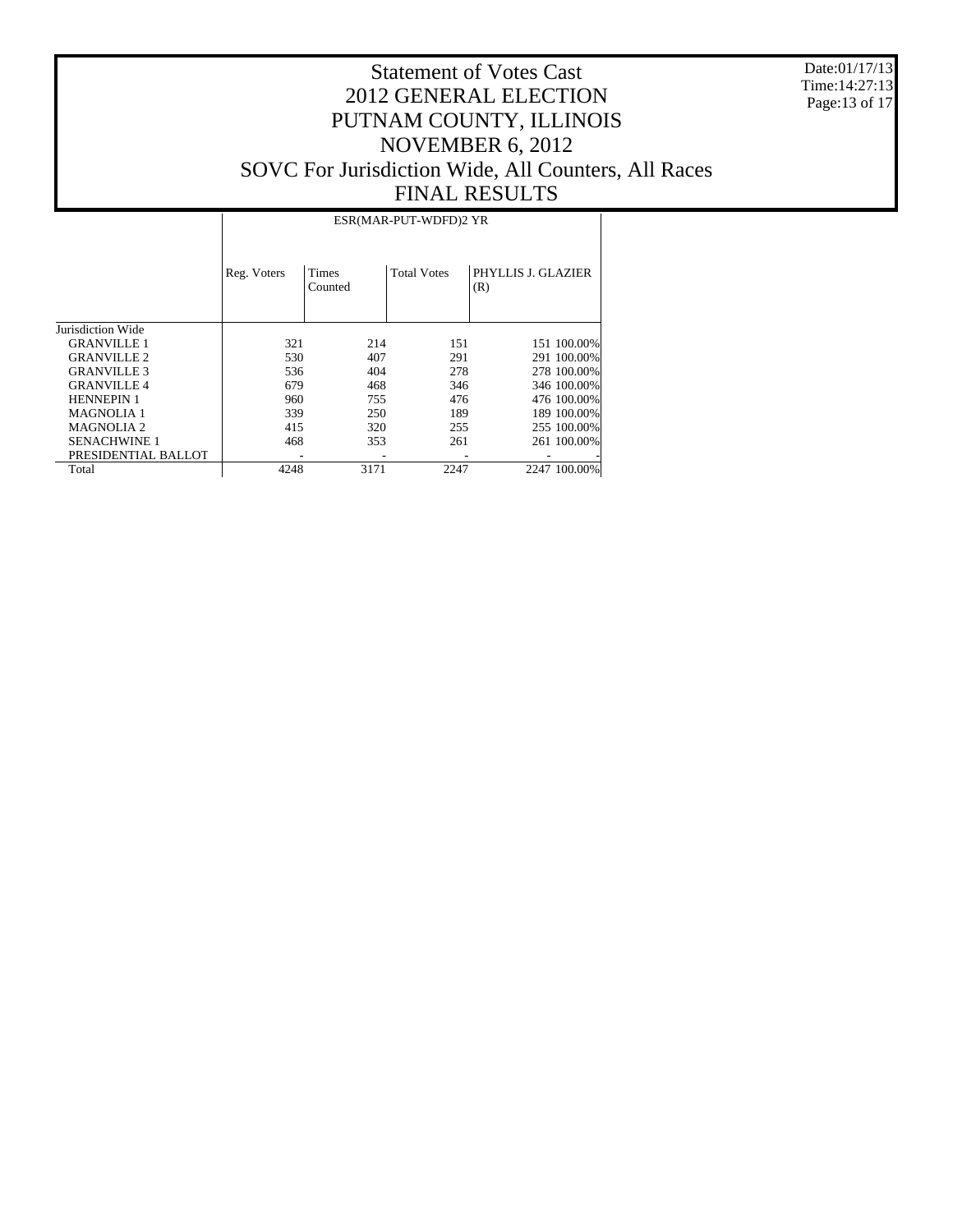Date:01/17/13 Time:14:27:13 Page:13 of 17

# Statement of Votes Cast 2012 GENERAL ELECTION PUTNAM COUNTY, ILLINOIS NOVEMBER 6, 2012 SOVC For Jurisdiction Wide, All Counters, All Races FINAL RESULTS

ESR(MAR-PUT-WDFD)2 YR

|                     | Reg. Voters | Times<br>Counted | <b>Total Votes</b> | PHYLLIS J. GLAZIER<br>(R) |
|---------------------|-------------|------------------|--------------------|---------------------------|
| Jurisdiction Wide   |             |                  |                    |                           |
| <b>GRANVILLE 1</b>  | 321         | 214              | 151                | 151 100.00%               |
| <b>GRANVILLE 2</b>  | 530         | 407              | 291                | 291 100.00%               |
| <b>GRANVILLE 3</b>  | 536         | 404              | 278                | 278 100,00%               |
| <b>GRANVILLE4</b>   | 679         | 468              | 346                | 346 100.00%               |
| <b>HENNEPIN 1</b>   | 960         | 755              | 476                | 476 100.00%               |
| <b>MAGNOLIA 1</b>   | 339         | 250              | 189                | 189 100.00%               |
| <b>MAGNOLIA 2</b>   | 415         | 320              | 255                | 255 100.00%               |
| <b>SENACHWINE 1</b> | 468         | 353              | 261                | 261 100.00%               |
| PRESIDENTIAL BALLOT |             |                  |                    |                           |
| Total               | 4248        | 3171             | 2247               | 2247 100.00%              |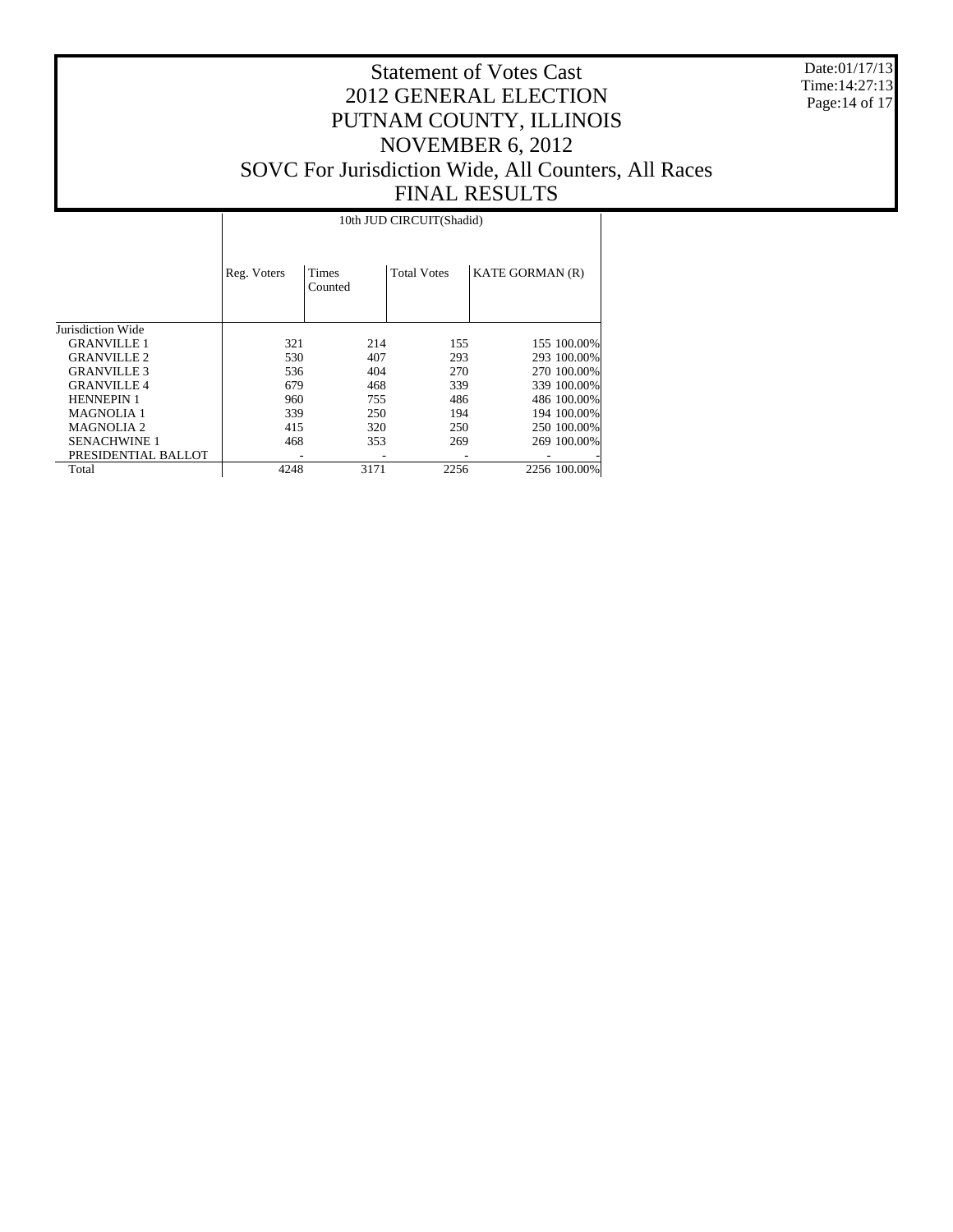Date:01/17/13 Time:14:27:13 Page:14 of 17

# Statement of Votes Cast 2012 GENERAL ELECTION PUTNAM COUNTY, ILLINOIS NOVEMBER 6, 2012 SOVC For Jurisdiction Wide, All Counters, All Races FINAL RESULTS

10th JUD CIRCUIT(Shadid)

|                       | Reg. Voters | <b>Times</b><br>Counted | <b>Total Votes</b> | <b>KATE GORMAN (R)</b> |
|-----------------------|-------------|-------------------------|--------------------|------------------------|
| Jurisdiction Wide     |             |                         |                    |                        |
| <b>GRANVILLE 1</b>    | 321         | 214                     | 155                | 155 100,00%            |
| <b>GRANVILLE 2</b>    | 530         | 407                     | 293                | 293 100.00%            |
| <b>GRANVILLE 3</b>    | 536         | 404                     | 270                | 270 100,00%            |
| <b>GRANVILLE 4</b>    | 679         | 468                     | 339                | 339 100.00%            |
| <b>HENNEPIN 1</b>     | 960         | 755                     | 486                | 486 100.00%            |
| <b>MAGNOLIA 1</b>     | 339         | 250                     | 194                | 194 100.00%            |
| MAGNOLIA <sub>2</sub> | 415         | 320                     | 250                | 250 100,00%            |
| <b>SENACHWINE 1</b>   | 468         | 353                     | 269                | 269 100.00%            |
| PRESIDENTIAL BALLOT   |             |                         |                    |                        |
| Total                 | 4248        | 3171                    | 2256               | 2256 100.00%           |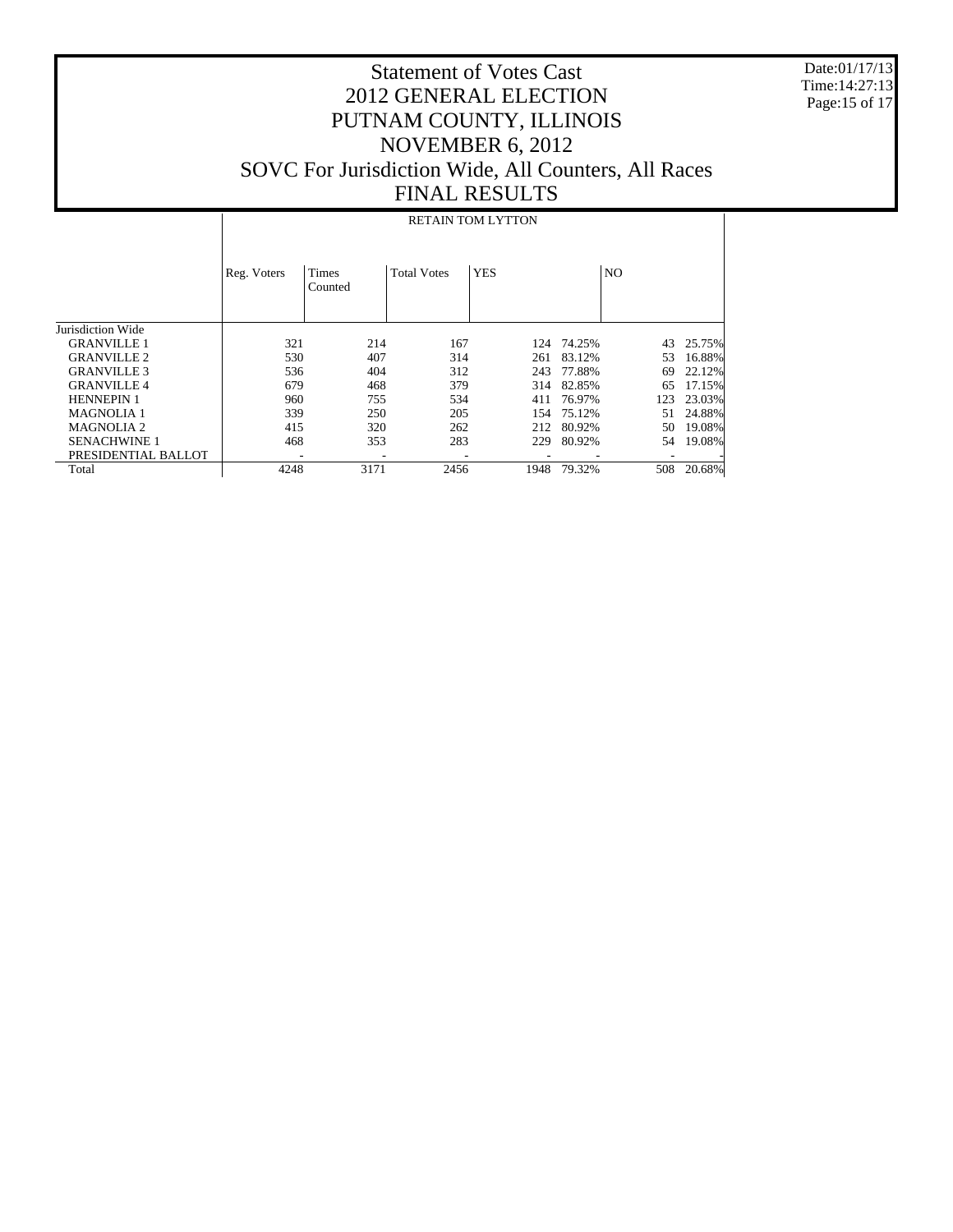Date:01/17/13 Time:14:27:13 Page:15 of 17

# Statement of Votes Cast 2012 GENERAL ELECTION PUTNAM COUNTY, ILLINOIS NOVEMBER 6, 2012 SOVC For Jurisdiction Wide, All Counters, All Races FINAL RESULTS

#### RETAIN TOM LYTTON

|                     | Reg. Voters              | <b>Times</b><br>Counted | <b>Total Votes</b> | <b>YES</b> |                          | N <sub>O</sub> |        |
|---------------------|--------------------------|-------------------------|--------------------|------------|--------------------------|----------------|--------|
| Jurisdiction Wide   |                          |                         |                    |            |                          |                |        |
| <b>GRANVILLE 1</b>  | 321                      | 214                     | 167                | 124        | 74.25%                   | 43             | 25.75% |
| <b>GRANVILLE 2</b>  | 530                      | 407                     | 314                | 261        | 83.12%                   | 53             | 16.88% |
| <b>GRANVILLE 3</b>  | 536                      | 404                     | 312                | 243        | 77.88%                   | 69             | 22.12% |
| <b>GRANVILLE 4</b>  | 679                      | 468                     | 379                | 314        | 82.85%                   | 65             | 17.15% |
| <b>HENNEPIN1</b>    | 960                      | 755                     | 534                | 411        | 76.97%                   | 123            | 23.03% |
| <b>MAGNOLIA 1</b>   | 339                      | 250                     | 205                | 154        | 75.12%                   | 51             | 24.88% |
| <b>MAGNOLIA 2</b>   | 415                      | 320                     | 262                | 212        | 80.92%                   | 50             | 19.08% |
| <b>SENACHWINE 1</b> | 468                      | 353                     | 283                | 229        | 80.92%                   | 54             | 19.08% |
| PRESIDENTIAL BALLOT | $\overline{\phantom{a}}$ |                         | ۰                  |            | $\overline{\phantom{a}}$ |                |        |
| Total               | 4248                     | 3171                    | 2456               | 1948       | 79.32%                   | 508            | 20.68% |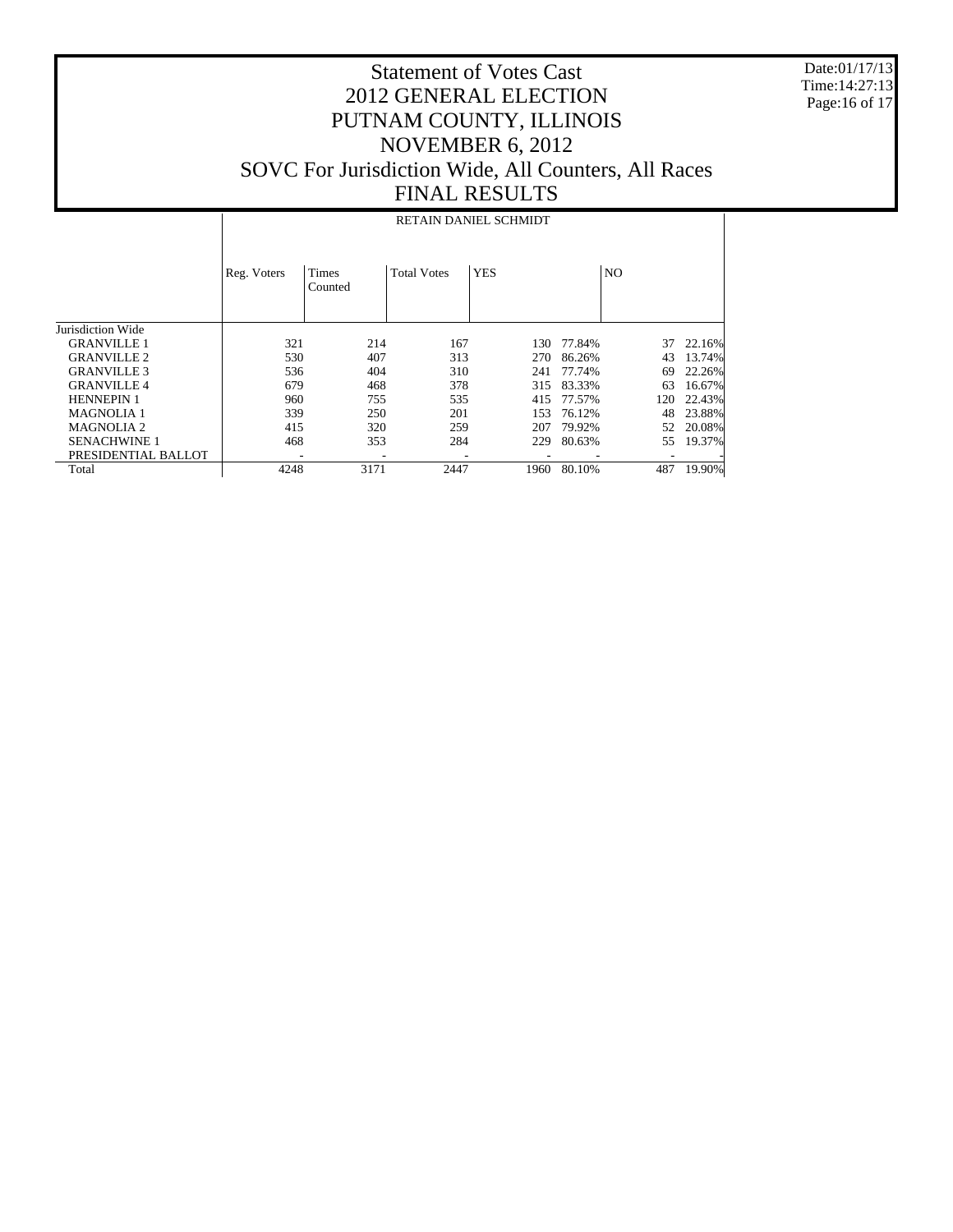Date:01/17/13 Time:14:27:13 Page:16 of 17

# Statement of Votes Cast 2012 GENERAL ELECTION PUTNAM COUNTY, ILLINOIS NOVEMBER 6, 2012 SOVC For Jurisdiction Wide, All Counters, All Races FINAL RESULTS

#### RETAIN DANIEL SCHMIDT

|                     | Reg. Voters | <b>Times</b><br>Counted | <b>Total Votes</b> | <b>YES</b> |        | N <sub>O</sub> |        |
|---------------------|-------------|-------------------------|--------------------|------------|--------|----------------|--------|
| Jurisdiction Wide   |             |                         |                    |            |        |                |        |
| <b>GRANVILLE 1</b>  | 321         | 214                     | 167                | 130        | 77.84% | 37             | 22.16% |
| <b>GRANVILLE 2</b>  | 530         | 407                     | 313                | 270        | 86.26% | 43             | 13.74% |
| <b>GRANVILLE 3</b>  | 536         | 404                     | 310                | 241        | 77.74% | 69             | 22.26% |
| <b>GRANVILLE 4</b>  | 679         | 468                     | 378                | 315        | 83.33% | 63             | 16.67% |
| <b>HENNEPIN 1</b>   | 960         | 755                     | 535                | 415        | 77.57% | 120            | 22.43% |
| <b>MAGNOLIA 1</b>   | 339         | 250                     | 201                | 153        | 76.12% | 48             | 23.88% |
| <b>MAGNOLIA 2</b>   | 415         | 320                     | 259                | 207        | 79.92% | 52             | 20.08% |
| <b>SENACHWINE 1</b> | 468         | 353                     | 284                | 229        | 80.63% | 55             | 19.37% |
| PRESIDENTIAL BALLOT |             |                         |                    |            |        |                |        |
| Total               | 4248        | 3171                    | 2447               | 1960       | 80.10% | 487            | 19.90% |